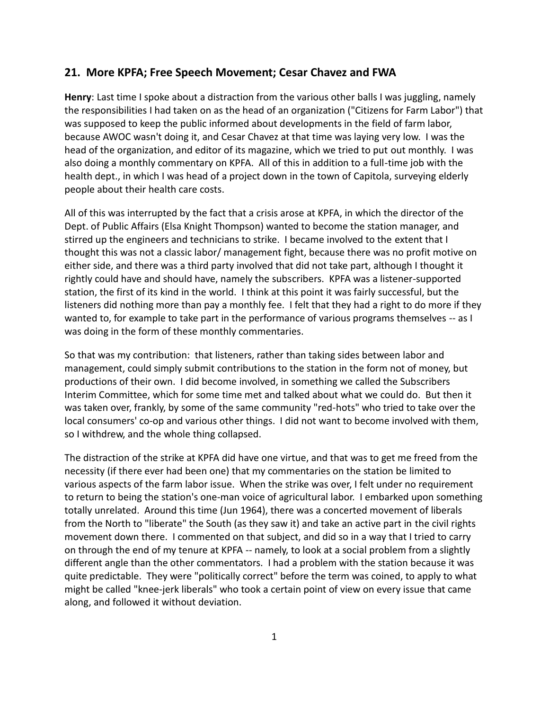## **21. More KPFA; Free Speech Movement; Cesar Chavez and FWA**

**Henry**: Last time I spoke about a distraction from the various other balls I was juggling, namely the responsibilities I had taken on as the head of an organization ("Citizens for Farm Labor") that was supposed to keep the public informed about developments in the field of farm labor, because AWOC wasn't doing it, and Cesar Chavez at that time was laying very low. I was the head of the organization, and editor of its magazine, which we tried to put out monthly. I was also doing a monthly commentary on KPFA. All of this in addition to a full-time job with the health dept., in which I was head of a project down in the town of Capitola, surveying elderly people about their health care costs.

All of this was interrupted by the fact that a crisis arose at KPFA, in which the director of the Dept. of Public Affairs (Elsa Knight Thompson) wanted to become the station manager, and stirred up the engineers and technicians to strike. I became involved to the extent that I thought this was not a classic labor/ management fight, because there was no profit motive on either side, and there was a third party involved that did not take part, although I thought it rightly could have and should have, namely the subscribers. KPFA was a listener-supported station, the first of its kind in the world. I think at this point it was fairly successful, but the listeners did nothing more than pay a monthly fee. I felt that they had a right to do more if they wanted to, for example to take part in the performance of various programs themselves -- as I was doing in the form of these monthly commentaries.

So that was my contribution: that listeners, rather than taking sides between labor and management, could simply submit contributions to the station in the form not of money, but productions of their own. I did become involved, in something we called the Subscribers Interim Committee, which for some time met and talked about what we could do. But then it was taken over, frankly, by some of the same community "red-hots" who tried to take over the local consumers' co-op and various other things. I did not want to become involved with them, so I withdrew, and the whole thing collapsed.

The distraction of the strike at KPFA did have one virtue, and that was to get me freed from the necessity (if there ever had been one) that my commentaries on the station be limited to various aspects of the farm labor issue. When the strike was over, I felt under no requirement to return to being the station's one-man voice of agricultural labor. I embarked upon something totally unrelated. Around this time (Jun 1964), there was a concerted movement of liberals from the North to "liberate" the South (as they saw it) and take an active part in the civil rights movement down there. I commented on that subject, and did so in a way that I tried to carry on through the end of my tenure at KPFA -- namely, to look at a social problem from a slightly different angle than the other commentators. I had a problem with the station because it was quite predictable. They were "politically correct" before the term was coined, to apply to what might be called "knee-jerk liberals" who took a certain point of view on every issue that came along, and followed it without deviation.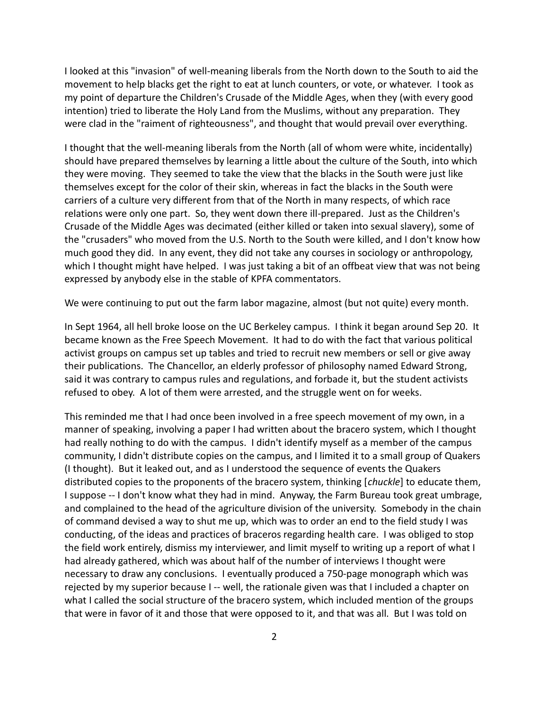I looked at this "invasion" of well-meaning liberals from the North down to the South to aid the movement to help blacks get the right to eat at lunch counters, or vote, or whatever. I took as my point of departure the Children's Crusade of the Middle Ages, when they (with every good intention) tried to liberate the Holy Land from the Muslims, without any preparation. They were clad in the "raiment of righteousness", and thought that would prevail over everything.

I thought that the well-meaning liberals from the North (all of whom were white, incidentally) should have prepared themselves by learning a little about the culture of the South, into which they were moving. They seemed to take the view that the blacks in the South were just like themselves except for the color of their skin, whereas in fact the blacks in the South were carriers of a culture very different from that of the North in many respects, of which race relations were only one part. So, they went down there ill-prepared. Just as the Children's Crusade of the Middle Ages was decimated (either killed or taken into sexual slavery), some of the "crusaders" who moved from the U.S. North to the South were killed, and I don't know how much good they did. In any event, they did not take any courses in sociology or anthropology, which I thought might have helped. I was just taking a bit of an offbeat view that was not being expressed by anybody else in the stable of KPFA commentators.

We were continuing to put out the farm labor magazine, almost (but not quite) every month.

In Sept 1964, all hell broke loose on the UC Berkeley campus. I think it began around Sep 20. It became known as the Free Speech Movement. It had to do with the fact that various political activist groups on campus set up tables and tried to recruit new members or sell or give away their publications. The Chancellor, an elderly professor of philosophy named Edward Strong, said it was contrary to campus rules and regulations, and forbade it, but the student activists refused to obey. A lot of them were arrested, and the struggle went on for weeks.

This reminded me that I had once been involved in a free speech movement of my own, in a manner of speaking, involving a paper I had written about the bracero system, which I thought had really nothing to do with the campus. I didn't identify myself as a member of the campus community, I didn't distribute copies on the campus, and I limited it to a small group of Quakers (I thought). But it leaked out, and as I understood the sequence of events the Quakers distributed copies to the proponents of the bracero system, thinking [*chuckle*] to educate them, I suppose -- I don't know what they had in mind. Anyway, the Farm Bureau took great umbrage, and complained to the head of the agriculture division of the university. Somebody in the chain of command devised a way to shut me up, which was to order an end to the field study I was conducting, of the ideas and practices of braceros regarding health care. I was obliged to stop the field work entirely, dismiss my interviewer, and limit myself to writing up a report of what I had already gathered, which was about half of the number of interviews I thought were necessary to draw any conclusions. I eventually produced a 750-page monograph which was rejected by my superior because I -- well, the rationale given was that I included a chapter on what I called the social structure of the bracero system, which included mention of the groups that were in favor of it and those that were opposed to it, and that was all. But I was told on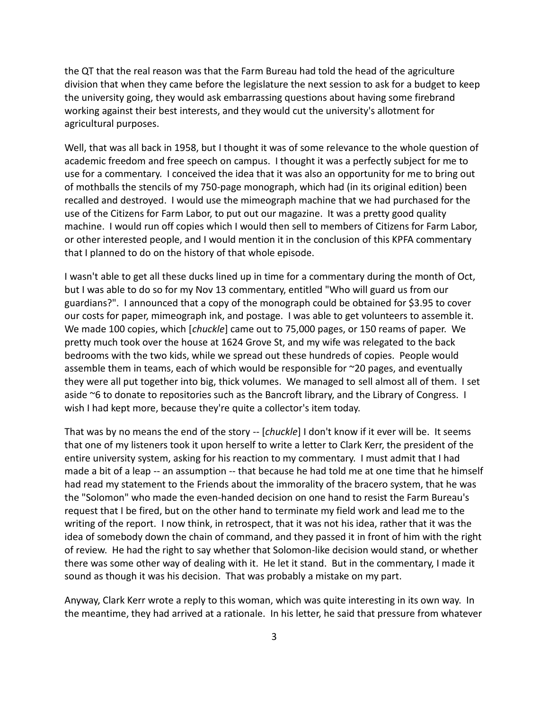the QT that the real reason was that the Farm Bureau had told the head of the agriculture division that when they came before the legislature the next session to ask for a budget to keep the university going, they would ask embarrassing questions about having some firebrand working against their best interests, and they would cut the university's allotment for agricultural purposes.

Well, that was all back in 1958, but I thought it was of some relevance to the whole question of academic freedom and free speech on campus. I thought it was a perfectly subject for me to use for a commentary. I conceived the idea that it was also an opportunity for me to bring out of mothballs the stencils of my 750-page monograph, which had (in its original edition) been recalled and destroyed. I would use the mimeograph machine that we had purchased for the use of the Citizens for Farm Labor, to put out our magazine. It was a pretty good quality machine. I would run off copies which I would then sell to members of Citizens for Farm Labor, or other interested people, and I would mention it in the conclusion of this KPFA commentary that I planned to do on the history of that whole episode.

I wasn't able to get all these ducks lined up in time for a commentary during the month of Oct, but I was able to do so for my Nov 13 commentary, entitled "Who will guard us from our guardians?". I announced that a copy of the monograph could be obtained for \$3.95 to cover our costs for paper, mimeograph ink, and postage. I was able to get volunteers to assemble it. We made 100 copies, which [*chuckle*] came out to 75,000 pages, or 150 reams of paper. We pretty much took over the house at 1624 Grove St, and my wife was relegated to the back bedrooms with the two kids, while we spread out these hundreds of copies. People would assemble them in teams, each of which would be responsible for  $\sim$ 20 pages, and eventually they were all put together into big, thick volumes. We managed to sell almost all of them. I set aside ~6 to donate to repositories such as the Bancroft library, and the Library of Congress. I wish I had kept more, because they're quite a collector's item today.

That was by no means the end of the story -- [*chuckle*] I don't know if it ever will be. It seems that one of my listeners took it upon herself to write a letter to Clark Kerr, the president of the entire university system, asking for his reaction to my commentary. I must admit that I had made a bit of a leap -- an assumption -- that because he had told me at one time that he himself had read my statement to the Friends about the immorality of the bracero system, that he was the "Solomon" who made the even-handed decision on one hand to resist the Farm Bureau's request that I be fired, but on the other hand to terminate my field work and lead me to the writing of the report. I now think, in retrospect, that it was not his idea, rather that it was the idea of somebody down the chain of command, and they passed it in front of him with the right of review. He had the right to say whether that Solomon-like decision would stand, or whether there was some other way of dealing with it. He let it stand. But in the commentary, I made it sound as though it was his decision. That was probably a mistake on my part.

Anyway, Clark Kerr wrote a reply to this woman, which was quite interesting in its own way. In the meantime, they had arrived at a rationale. In his letter, he said that pressure from whatever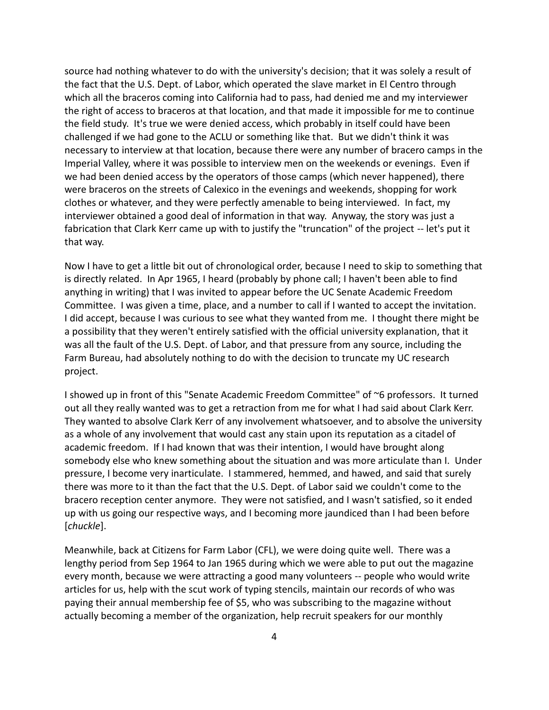source had nothing whatever to do with the university's decision; that it was solely a result of the fact that the U.S. Dept. of Labor, which operated the slave market in El Centro through which all the braceros coming into California had to pass, had denied me and my interviewer the right of access to braceros at that location, and that made it impossible for me to continue the field study. It's true we were denied access, which probably in itself could have been challenged if we had gone to the ACLU or something like that. But we didn't think it was necessary to interview at that location, because there were any number of bracero camps in the Imperial Valley, where it was possible to interview men on the weekends or evenings. Even if we had been denied access by the operators of those camps (which never happened), there were braceros on the streets of Calexico in the evenings and weekends, shopping for work clothes or whatever, and they were perfectly amenable to being interviewed. In fact, my interviewer obtained a good deal of information in that way. Anyway, the story was just a fabrication that Clark Kerr came up with to justify the "truncation" of the project -- let's put it that way.

Now I have to get a little bit out of chronological order, because I need to skip to something that is directly related. In Apr 1965, I heard (probably by phone call; I haven't been able to find anything in writing) that I was invited to appear before the UC Senate Academic Freedom Committee. I was given a time, place, and a number to call if I wanted to accept the invitation. I did accept, because I was curious to see what they wanted from me. I thought there might be a possibility that they weren't entirely satisfied with the official university explanation, that it was all the fault of the U.S. Dept. of Labor, and that pressure from any source, including the Farm Bureau, had absolutely nothing to do with the decision to truncate my UC research project.

I showed up in front of this "Senate Academic Freedom Committee" of ~6 professors. It turned out all they really wanted was to get a retraction from me for what I had said about Clark Kerr. They wanted to absolve Clark Kerr of any involvement whatsoever, and to absolve the university as a whole of any involvement that would cast any stain upon its reputation as a citadel of academic freedom. If I had known that was their intention, I would have brought along somebody else who knew something about the situation and was more articulate than I. Under pressure, I become very inarticulate. I stammered, hemmed, and hawed, and said that surely there was more to it than the fact that the U.S. Dept. of Labor said we couldn't come to the bracero reception center anymore. They were not satisfied, and I wasn't satisfied, so it ended up with us going our respective ways, and I becoming more jaundiced than I had been before [*chuckle*].

Meanwhile, back at Citizens for Farm Labor (CFL), we were doing quite well. There was a lengthy period from Sep 1964 to Jan 1965 during which we were able to put out the magazine every month, because we were attracting a good many volunteers -- people who would write articles for us, help with the scut work of typing stencils, maintain our records of who was paying their annual membership fee of \$5, who was subscribing to the magazine without actually becoming a member of the organization, help recruit speakers for our monthly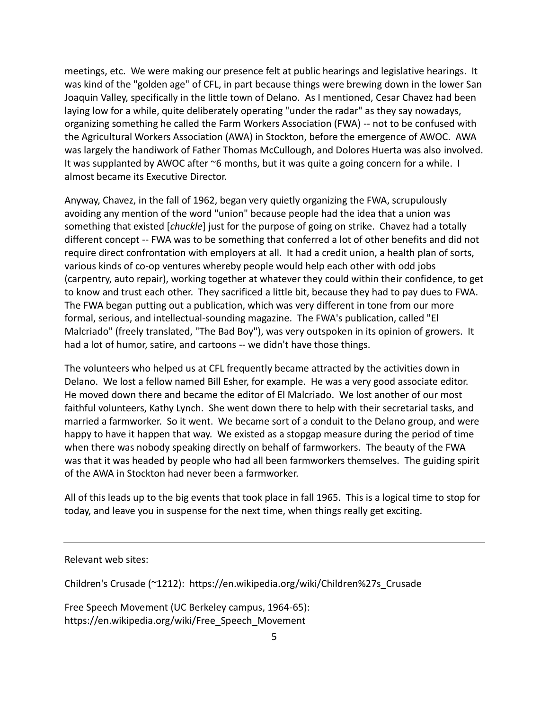meetings, etc. We were making our presence felt at public hearings and legislative hearings. It was kind of the "golden age" of CFL, in part because things were brewing down in the lower San Joaquin Valley, specifically in the little town of Delano. As I mentioned, Cesar Chavez had been laying low for a while, quite deliberately operating "under the radar" as they say nowadays, organizing something he called the Farm Workers Association (FWA) -- not to be confused with the Agricultural Workers Association (AWA) in Stockton, before the emergence of AWOC. AWA was largely the handiwork of Father Thomas McCullough, and Dolores Huerta was also involved. It was supplanted by AWOC after ~6 months, but it was quite a going concern for a while. I almost became its Executive Director.

Anyway, Chavez, in the fall of 1962, began very quietly organizing the FWA, scrupulously avoiding any mention of the word "union" because people had the idea that a union was something that existed [*chuckle*] just for the purpose of going on strike. Chavez had a totally different concept -- FWA was to be something that conferred a lot of other benefits and did not require direct confrontation with employers at all. It had a credit union, a health plan of sorts, various kinds of co-op ventures whereby people would help each other with odd jobs (carpentry, auto repair), working together at whatever they could within their confidence, to get to know and trust each other. They sacrificed a little bit, because they had to pay dues to FWA. The FWA began putting out a publication, which was very different in tone from our more formal, serious, and intellectual-sounding magazine. The FWA's publication, called "El Malcriado" (freely translated, "The Bad Boy"), was very outspoken in its opinion of growers. It had a lot of humor, satire, and cartoons -- we didn't have those things.

The volunteers who helped us at CFL frequently became attracted by the activities down in Delano. We lost a fellow named Bill Esher, for example. He was a very good associate editor. He moved down there and became the editor of El Malcriado. We lost another of our most faithful volunteers, Kathy Lynch. She went down there to help with their secretarial tasks, and married a farmworker. So it went. We became sort of a conduit to the Delano group, and were happy to have it happen that way. We existed as a stopgap measure during the period of time when there was nobody speaking directly on behalf of farmworkers. The beauty of the FWA was that it was headed by people who had all been farmworkers themselves. The guiding spirit of the AWA in Stockton had never been a farmworker.

All of this leads up to the big events that took place in fall 1965. This is a logical time to stop for today, and leave you in suspense for the next time, when things really get exciting.

Relevant web sites:

Children's Crusade (~1212): https://en.wikipedia.org/wiki/Children%27s\_Crusade

Free Speech Movement (UC Berkeley campus, 1964-65): https://en.wikipedia.org/wiki/Free\_Speech\_Movement